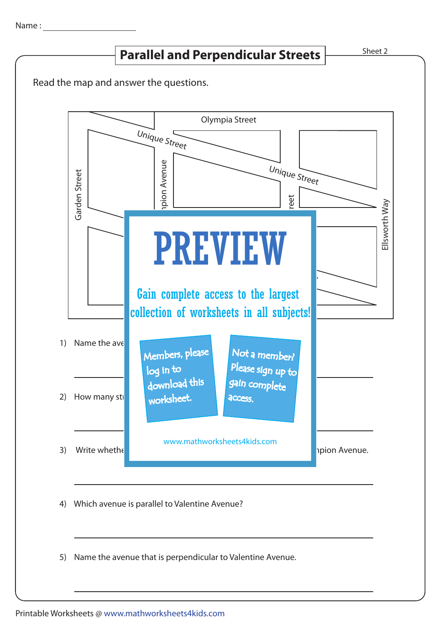